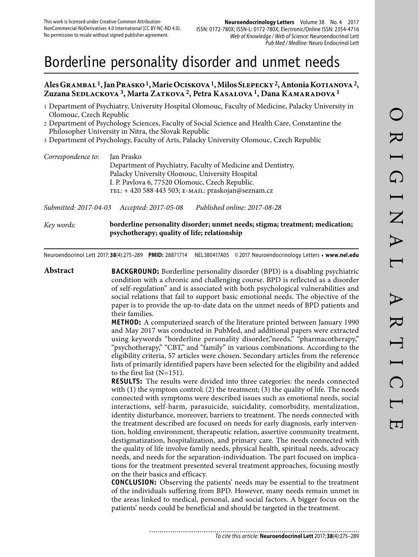# Borderline personality disorder and unmet needs

# **Ales Grambal 1, Jan Prasko 1, Marie Ociskova 1, Milos Slepecky 2, Antonia Kotianova 2, Zuzana Sedlackova 3, Marta Zatkova 2, Petra Kasalova 1, Dana Kamaradova 1**

- 1 Department of Psychiatry, University Hospital Olomouc, Faculty of Medicine, Palacky University in Olomouc, Czech Republic
- 2 Department of Psychology Sciences, Faculty of Social Science and Health Care, Constantine the Philosopher University in Nitra, the Slovak Republic
- 3 Department of Psychology, Faculty of Arts, Palacky University Olomouc, Czech Republic

| Correspondence to: | Jan Prasko                                                   |
|--------------------|--------------------------------------------------------------|
|                    | Department of Psychiatry, Faculty of Medicine and Dentistry, |
|                    | Palacky University Olomouc, University Hospital              |
|                    | I. P. Pavlova 6, 77520 Olomouc, Czech Republic.              |
|                    | TEL: + 420 588 443 503; E-MAIL: praskojan@seznam.cz          |
|                    |                                                              |

*Submitted: 2017-04-03 Accepted: 2017-05-08 Published online: 2017-08-28*

*Key words:* **borderline personality disorder; unmet needs; stigma; treatment; medication; psychotherapy; quality of life; relationship**

Neuroendocrinol Lett 2017; **38**(4):275–289 **PMID:** 28871714 NEL380417A05 © 2017 Neuroendocrinology Letters • **www.nel.edu**

**Abstract BACKGROUND:** Borderline personality disorder (BPD) is a disabling psychiatric condition with a chronic and challenging course. BPD is reflected as a disorder of self-regulation" and is associated with both psychological vulnerabilities and social relations that fail to support basic emotional needs. The objective of the paper is to provide the up-to-date data on the unmet needs of BPD patients and their families. **METHOD:** A computerized search of the literature printed between January 1990 and May 2017 was conducted in PubMed, and additional papers were extracted using keywords "borderline personality disorder,"needs," "pharmacotherapy," "psychotherapy," "CBT," and "family" in various combinations. According to the eligibility criteria, 57 articles were chosen. Secondary articles from the reference lists of primarily identified papers have been selected for the eligibility and added to the first list (N=151). **RESULTS:** The results were divided into three categories: the needs connected with  $(1)$  the symptom control;  $(2)$  the treatment;  $(3)$  the quality of life. The needs connected with symptoms were described issues such as emotional needs, social interactions, self-harm, parasuicide, suicidality, comorbidity, mentalization, identity disturbance, moreover, barriers to treatment. The needs connected with the treatment described are focused on needs for early diagnosis, early intervention, holding environment, therapeutic relation, assertive community treatment, destigmatization, hospitalization, and primary care. The needs connected with the quality of life involve family needs, physical health, spiritual needs, advocacy needs, and needs for the separation-individuation. The part focused on implications for the treatment presented several treatment approaches, focusing mostly on the their basics and efficacy. **CONCLUSION:** Observing the patients' needs may be essential to the treatment of the individuals suffering from BPD. However, many needs remain unmet in the areas linked to medical, personal, and social factors. A bigger focus on the patients' needs could be beneficial and should be targeted in the treatment.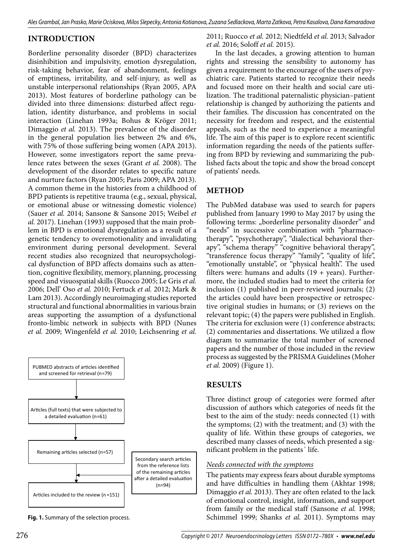# **INTRODUCTION**

Borderline personality disorder (BPD) characterizes disinhibition and impulsivity, emotion dysregulation, risk-taking behavior, fear of abandonment, feelings of emptiness, irritability, and self-injury, as well as unstable interpersonal relationships (Ryan 2005, APA 2013). Most features of borderline pathology can be divided into three dimensions: disturbed affect regulation, identity disturbance, and problems in social interaction (Linehan 1993a; Bohus & Kröger 2011; Dimaggio *et al.* 2013). The prevalence of the disorder in the general population lies between 2% and 6%, with 75% of those suffering being women (APA 2013). However, some investigators report the same prevalence rates between the sexes (Grant *et al.* 2008). The development of the disorder relates to specific nature and nurture factors (Ryan 2005; Paris 2009; APA 2013). A common theme in the histories from a childhood of BPD patients is repetitive trauma (e.g., sexual, physical, or emotional abuse or witnessing domestic violence) (Sauer *et al.* 2014; Sansone & Sansone 2015; Weibel *et al.* 2017). Linehan (1993) supposed that the main problem in BPD is emotional dysregulation as a result of a genetic tendency to overemotionality and invalidating environment during personal development. Several recent studies also recognized that neuropsychological dysfunction of BPD affects domains such as attention, cognitive flexibility, memory, planning, processing speed and visuospatial skills (Ruocco 2005; Le Gris *et al.*  2006; Dell' Oso *et al.* 2010; Fertuck *et al.* 2012; Mark & Lam 2013). Accordingly neuroimaging studies reported structural and functional abnormalities in various brain areas supporting the assumption of a dysfunctional fronto-limbic network in subjects with BPD (Nunes *et al.* 2009; Wingenfeld *et al.* 2010; Leichsenring *et al.* 



**Fig. 1.** Summary of the selection process.

2011; Ruocco *et al.* 2012; Niedtfeld *et al.* 2013; Salvador *et al.* 2016; Soloff *et al.* 2015).

In the last decades, a growing attention to human rights and stressing the sensibility to autonomy has given a requirement to the encourage of the users of psychiatric care. Patients started to recognize their needs and focused more on their health and social care utilization. The traditional paternalistic physician–patient relationship is changed by authorizing the patients and their families. The discussion has concentrated on the necessity for freedom and respect, and the existential appeals, such as the need to experience a meaningful life. The aim of this paper is to explore recent scientific information regarding the needs of the patients suffering from BPD by reviewing and summarizing the published facts about the topic and show the broad concept of patients' needs.

# **METHOD**

The PubMed database was used to search for papers published from January 1990 to May 2017 by using the following terms: "borderline personality disorder" and "needs" in successive combination with "pharmacotherapy", "psychotherapy", "dialectical behavioral therapy", "schema therapy" "cognitive behavioral therapy", "transference focus therapy" "family", "quality of life", "emotionally unstable", or "physical health". The used filters were: humans and adults  $(19 + \text{years})$ . Furthermore, the included studies had to meet the criteria for inclusion (1) published in peer-reviewed journals; (2) the articles could have been prospective or retrospective original studies in humans; or (3) reviews on the relevant topic; (4) the papers were published in English. The criteria for exclusion were (1) conference abstracts; (2) commentaries and dissertations. We utilized a flow diagram to summarize the total number of screened papers and the number of those included in the review process as suggested by the PRISMA Guidelines (Moher *et al.* 2009) (Figure 1).

# **RESULTS**

Three distinct group of categories were formed after discussion of authors which categories of needs fit the best to the aim of the study: needs connected (1) with the symptoms; (2) with the treatment; and (3) with the quality of life. Within these groups of categories, we described many classes of needs, which presented a significant problem in the patients´ life.

## *Needs connected with the symptoms*

The patients may express fears about durable symptoms and have difficulties in handling them (Akhtar 1998; Dimaggio *et al.* 2013). They are often related to the lack of emotional control, insight, information, and support from family or the medical staff (Sansone *et al.* 1998; Schimmel 1999; Shanks *et al.* 2011). Symptoms may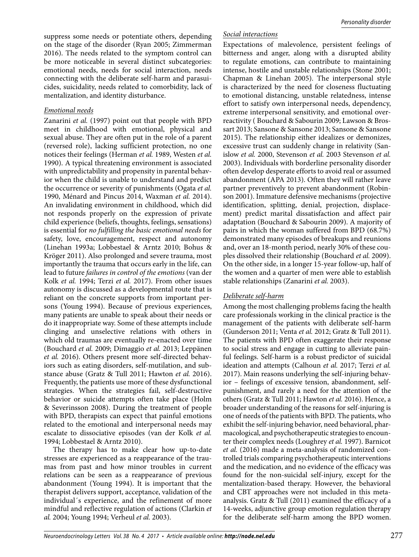suppress some needs or potentiate others, depending on the stage of the disorder (Ryan 2005; Zimmerman 2016). The needs related to the symptom control can be more noticeable in several distinct subcategories: emotional needs, needs for social interaction, needs connecting with the deliberate self-harm and parasuicides, suicidality, needs related to comorbidity, lack of mentalization, and identity disturbance.

# *Emotional needs*

Zanarini *et al.* (1997) point out that people with BPD meet in childhood with emotional, physical and sexual abuse. They are often put in the role of a parent (reversed role), lacking sufficient protection, no one notices their feelings (Herman *et al.* 1989, Westen *et al.*  1990). A typical threatening environment is associated with unpredictability and propensity in parental behavior when the child is unable to understand and predict the occurrence or severity of punishments (Ogata *et al.*  1990, Ménard and Pincus 2014, Waxman *et al.* 2014). An invalidating environment in childhood, which did not responds properly on the expression of private child experience (beliefs, thoughts, feelings, sensations) is essential for *no fulfilling the basic emotional needs* for safety, love, encouragement, respect and autonomy (Linehan 1993a; Lobbestael & Arntz 2010; Bohus & Kröger 2011). Also prolonged and severe trauma, most importantly the trauma that occurs early in the life, can lead to future *failures in control of the emotions* (van der Kolk *et al.* 1994; Terzi *et al.* 2017). From other issues autonomy is discussed as a developmental route that is reliant on the concrete supports from important persons (Young 1994). Because of previous experiences, many patients are unable to speak about their needs or do it inappropriate way. Some of these attempts include clinging and unselective relations with others in which old traumas are eventually re-enacted over time (Bouchard *et al.* 2009; Dimaggio *et al.* 2013; Leppänen *et al.* 2016). Others present more self-directed behaviors such as eating disorders, self-mutilation, and substance abuse (Gratz & Tull 2011; Hawton *et al.* 2016). Frequently, the patients use more of these dysfunctional strategies. When the strategies fail, self-destructive behavior or suicide attempts often take place (Holm & Severinsson 2008). During the treatment of people with BPD, therapists can expect that painful emotions related to the emotional and interpersonal needs may escalate to dissociative episodes (van der Kolk *et al.*  1994; Lobbestael & Arntz 2010).

The therapy has to make clear how up-to-date stresses are experienced as a reappearance of the traumas from past and how minor troubles in current relations can be seen as a reappearance of previous abandonment (Young 1994). It is important that the therapist delivers support, acceptance, validation of the individual´s experience, and the refinement of more mindful and reflective regulation of actions (Clarkin *et al.* 2004; Young 1994; Verheul *et al.* 2003).

#### *Social interactions*

Expectations of malevolence, persistent feelings of bitterness and anger, along with a disrupted ability to regulate emotions, can contribute to maintaining intense, hostile and unstable relationships (Stone 2001; Chapman & Linehan 2005). The interpersonal style is characterized by the need for closeness fluctuating to emotional distancing, unstable relatedness, intense effort to satisfy own interpersonal needs, dependency, extreme interpersonal sensitivity, and emotional overreactivity ( Bouchard & Sabourin 2009; Lawson & Brossart 2013; Sansone & Sansone 2013; Sansone & Sansone 2015). The relationship either idealizes or demonizes, excessive trust can suddenly change in relativity (Sanislow *et al.* 2000, Stevenson *et al.* 2003 Stevenson *et al.*  2003). Individuals with borderline personality disorder often develop desperate efforts to avoid real or assumed abandonment (APA 2013). Often they will rather leave partner preventively to prevent abandonment (Robinson 2001). Immature defensive mechanisms (projective identification, splitting, denial, projection, displacement) predict marital dissatisfaction and affect pair adaptation (Bouchard & Sabourin 2009). A majority of pairs in which the woman suffered from BPD (68.7%) demonstrated many episodes of breakups and reunions and, over an 18-month period, nearly 30% of these couples dissolved their relationship (Bouchard *et al.* 2009). On the other side, in a longer 15-year follow-up, half of the women and a quarter of men were able to establish stable relationships (Zanarini *et al.* 2003).

#### *Deliberate self-harm*

Among the most challenging problems facing the health care professionals working in the clinical practice is the management of the patients with deliberate self-harm (Gunderson 2011; Venta *et al.* 2012; Gratz & Tull 2011). The patients with BPD often exaggerate their response to social stress and engage in cutting to alleviate painful feelings. Self-harm is a robust predictor of suicidal ideation and attempts (Calhoun *et al.* 2017; Terzi *et al.*  2017). Main reasons underlying the self-injuring behavior – feelings of excessive tension, abandonment, selfpunishment, and rarely a need for the attention of the others (Gratz & Tull 2011; Hawton *et al.* 2016). Hence, a broader understanding of the reasons for self-injuring is one of needs of the patients with BPD. The patients, who exhibit the self-injuring behavior, need behavioral, pharmacological, and psychotherapeutic strategies to encounter their complex needs (Loughrey *et al.* 1997). Barnicot *et al.* (2016) made a meta-analysis of randomized controlled trials comparing psychotherapeutic interventions and the medication, and no evidence of the efficacy was found for the non-suicidal self-injury, except for the mentalization-based therapy. However, the behavioral and CBT approaches were not included in this metaanalysis. Gratz & Tull (2011) examined the efficacy of a 14-weeks, adjunctive group emotion regulation therapy for the deliberate self-harm among the BPD women.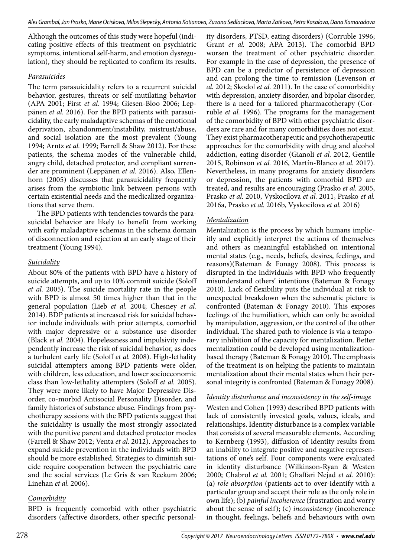Although the outcomes of this study were hopeful (indicating positive effects of this treatment on psychiatric symptoms, intentional self-harm, and emotion dysregulation), they should be replicated to confirm its results.

## *Parasuicides*

The term parasuicidality refers to a recurrent suicidal behavior, gestures, threats or self-mutilating behavior (APA 2001; First *et al.* 1994; Giesen-Bloo 2006; Leppänen *et al.* 2016). For the BPD patients with parasuicidality, the early maladaptive schemas of the emotional deprivation, abandonment/instability, mistrust/abuse, and social isolation are the most prevalent (Young 1994; Arntz *et al.* 1999; Farrell & Shaw 2012). For these patients, the schema modes of the vulnerable child, angry child, detached protector, and compliant surrender are prominent (Leppänen *et al.* 2016). Also, Ellenhorn (2005) discusses that parasuicidality frequently arises from the symbiotic link between persons with certain existential needs and the medicalized organizations that serve them.

The BPD patients with tendencies towards the parasuicidal behavior are likely to benefit from working with early maladaptive schemas in the schema domain of disconnection and rejection at an early stage of their treatment (Young 1994).

# *Suicidality*

About 80% of the patients with BPD have a history of suicide attempts, and up to 10% commit suicide (Soloff *et al.* 2005). The suicide mortality rate in the people with BPD is almost 50 times higher than that in the general population (Lieb *et al.* 2004; Chesney *et al.*  2014). BDP patients at increased risk for suicidal behavior include individuals with prior attempts, comorbid with major depressive or a substance use disorder (Black *et al.* 2004). Hopelessness and impulsivity independently increase the risk of suicidal behavior, as does a turbulent early life (Soloff *et al.* 2008). High-lethality suicidal attempters among BPD patients were older, with children, less education, and lower socioeconomic class than low-lethality attempters (Soloff *et al.* 2005). They were more likely to have Major Depressive Disorder, co-morbid Antisocial Personality Disorder, and family histories of substance abuse. Findings from psychotherapy sessions with the BPD patients suggest that the suicidality is usually the most strongly associated with the punitive parent and detached protector modes (Farrell & Shaw 2012; Venta *et al.* 2012). Approaches to expand suicide prevention in the individuals with BPD should be more established. Strategies to diminish suicide require cooperation between the psychiatric care and the social services (Le Gris & van Reekum 2006; Linehan *et al.* 2006).

# *Comorbidity*

BPD is frequently comorbid with other psychiatric disorders (affective disorders, other specific personal-

ity disorders, PTSD, eating disorders) (Corruble 1996; Grant *et al.* 2008; APA 2013). The comorbid BPD worsen the treatment of other psychiatric disorder. For example in the case of depression, the presence of BPD can be a predictor of persistence of depression and can prolong the time to remission (Levenson *et al.* 2012; Skodol *et al.* 2011). In the case of comorbidity with depression, anxiety disorder, and bipolar disorder, there is a need for a tailored pharmacotherapy (Corruble *et al.* 1996). The programs for the management of the comorbidity of BPD with other psychiatric disorders are rare and for many comorbidities does not exist. They exist pharmacotherapeutic and psychotherapeutic approaches for the comorbidity with drug and alcohol addiction, eating disorder (Gianoli *et al.* 2012, Gentile 2015, Robinson *et al.* 2016, Martín-Blanco *et al.* 2017). Nevertheless, in many programs for anxiety disorders or depression, the patients with comorbid BPD are treated, and results are encouraging (Prasko *et al.* 2005, Prasko *et al.* 2010, Vyskocilova *et al.* 2011, Prasko *et al.*  2016a, Prasko *et al.* 2016b, Vyskocilova *et al.* 2016)

# *Mentalization*

Mentalization is the process by which humans implicitly and explicitly interpret the actions of themselves and others as meaningful established on intentional mental states (e.g., needs, beliefs, desires, feelings, and reasons)(Bateman & Fonagy 2008). This process is disrupted in the individuals with BPD who frequently misunderstand others' intentions (Bateman & Fonagy 2010). Lack of flexibility puts the individual at risk to unexpected breakdown when the schematic picture is confronted (Bateman & Fonagy 2010). This exposes feelings of the humiliation, which can only be avoided by manipulation, aggression, or the control of the other individual. The shared path to violence is via a temporary inhibition of the capacity for mentalization. Better mentalization could be developed using mentalizationbased therapy (Bateman & Fonagy 2010). The emphasis of the treatment is on helping the patients to maintain mentalization about their mental states when their personal integrity is confronted (Bateman & Fonagy 2008).

# *Identity disturbance and inconsistency in the self-image*

Westen and Cohen (1993) described BPD patients with lack of consistently invested goals, values, ideals, and relationships. Identity disturbance is a complex variable that consists of several measurable elements. According to Kernberg (1993), diffusion of identity results from an inability to integrate positive and negative representations of one's self. Four components were evaluated in identity disturbance (Wilkinson-Ryan & Westen 2000; Chabrol *et al.* 2001; Ghaffari Nejad *et al.* 2010): (a) *role absorption* (patients act to over-identify with a particular group and accept their role as the only role in own life); (b) *painful incoherence* (frustration and worry about the sense of self); (c) *inconsistency* (incoherence in thought, feelings, beliefs and behaviours with own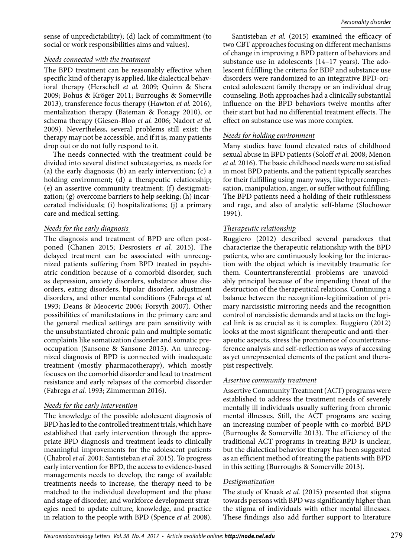#### *Needs connected with the treatment*

The BPD treatment can be reasonably effective when specific kind of therapy is applied, like dialectical behavioral therapy (Herschell *et al.* 2009; Quinn & Shera 2009; Bohus & Kröger 2011; Burroughs & Somerville 2013), transference focus therapy (Hawton *et al.* 2016), mentalization therapy (Bateman & Fonagy 2010), or schema therapy (Giesen-Bloo *et al.* 2006; Nadort *et al.*  2009). Nevertheless, several problems still exist: the therapy may not be accessible, and if it is, many patients drop out or do not fully respond to it.

The needs connected with the treatment could be divided into several distinct subcategories, as needs for (a) the early diagnosis; (b) an early intervention; (c) a holding environment; (d) a therapeutic relationship; (e) an assertive community treatment; (f) destigmatization; (g) overcome barriers to help seeking; (h) incarcerated individuals; (i) hospitalizations; (j) a primary care and medical setting.

#### *Needs for the early diagnosis*

The diagnosis and treatment of BPD are often postponed (Chanen 2015; Desrosiers *et al.* 2015). The delayed treatment can be associated with unrecognized patients suffering from BPD treated in psychiatric condition because of a comorbid disorder, such as depression, anxiety disorders, substance abuse disorders, eating disorders, bipolar disorder, adjustment disorders, and other mental conditions (Fabrega *et al.*  1993; Deans & Meocevic 2006; Forsyth 2007). Other possibilities of manifestations in the primary care and the general medical settings are pain sensitivity with the unsubstantiated chronic pain and multiple somatic complaints like somatization disorder and somatic preoccupation (Sansone & Sansone 2015). An unrecognized diagnosis of BPD is connected with inadequate treatment (mostly pharmacotherapy), which mostly focuses on the comorbid disorder and lead to treatment resistance and early relapses of the comorbid disorder (Fabrega *et al.* 1993; Zimmerman 2016).

## *Needs for the early intervention*

The knowledge of the possible adolescent diagnosis of BPD has led to the controlled treatment trials, which have established that early intervention through the appropriate BPD diagnosis and treatment leads to clinically meaningful improvements for the adolescent patients (Chabrol *et al.* 2001; Santisteban *et al.* 2015). To progress early intervention for BPD, the access to evidence-based managements needs to develop, the range of available treatments needs to increase, the therapy need to be matched to the individual development and the phase and stage of disorder, and workforce development strategies need to update culture, knowledge, and practice in relation to the people with BPD (Spence *et al.* 2008).

Santisteban et al. (2015) examined the efficacy of two CBT approaches focusing on different mechanisms of change in improving a BPD pattern of behaviors and substance use in adolescents (14–17 years). The adolescent fulfilling the criteria for BDP and substance use disorders were randomized to an integrative BPD-oriented adolescent family therapy or an individual drug counseling. Both approaches had a clinically substantial influence on the BPD behaviors twelve months after their start but had no differential treatment effects. The effect on substance use was more complex.

## *Needs for holding environment*

Many studies have found elevated rates of childhood sexual abuse in BPD patients (Soloff *et al.* 2008; Menon *et al.* 2016). The basic childhood needs were no satisfied in most BPD patients, and the patient typically searches for their fulfilling using many ways, like hypercompensation, manipulation, anger, or suffer without fulfilling. The BPD patients need a holding of their ruthlessness and rage, and also of analytic self-blame (Slochower 1991).

## *Therapeutic relationship*

Ruggiero (2012) described several paradoxes that characterize the therapeutic relationship with the BPD patients, who are continuously looking for the interaction with the object which is inevitably traumatic for them. Countertransferential problems are unavoidably principal because of the impending threat of the destruction of the therapeutical relations. Continuing a balance between the recognition-legitimization of primary narcissistic mirroring needs and the recognition control of narcissistic demands and attacks on the logical link is as crucial as it is complex. Ruggiero (2012) looks at the most significant therapeutic and anti-therapeutic aspects, stress the prominence of countertransference analysis and self-reflection as ways of accessing as yet unrepresented elements of the patient and therapist respectively.

## *Assertive community treatment*

Assertive Community Treatment (ACT) programs were established to address the treatment needs of severely mentally ill individuals usually suffering from chronic mental illnesses. Still, the ACT programs are seeing an increasing number of people with co-morbid BPD (Burroughs & Somerville 2013). The efficiency of the traditional ACT programs in treating BPD is unclear, but the dialectical behavior therapy has been suggested as an efficient method of treating the patients with BPD in this setting (Burroughs & Somerville 2013).

## *Destigmatization*

The study of Knaak *et al.* (2015) presented that stigma towards persons with BPD was significantly higher than the stigma of individuals with other mental illnesses. These findings also add further support to literature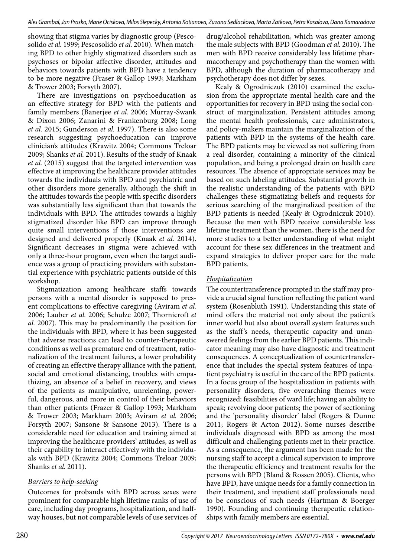showing that stigma varies by diagnostic group (Pescosolido *et al.* 1999; Pescosolido *et al.* 2010). When matching BPD to other highly stigmatized disorders such as psychoses or bipolar affective disorder, attitudes and behaviors towards patients with BPD have a tendency to be more negative (Fraser & Gallop 1993; Markham & Trower 2003; Forsyth 2007).

There are investigations on psychoeducation as an effective strategy for BPD with the patients and family members (Banerjee *et al.* 2006; Murray-Swank & Dixon 2006; Zanarini & Frankenburg 2008; Long *et al.* 2015; Gunderson *et al.* 1997). There is also some research suggesting psychoeducation can improve clinician's attitudes (Krawitz 2004; Commons Treloar 2009; Shanks *et al.* 2011). Results of the study of Knaak *et al.* (2015) suggest that the targeted intervention was effective at improving the healthcare provider attitudes towards the individuals with BPD and psychiatric and other disorders more generally, although the shift in the attitudes towards the people with specific disorders was substantially less significant than that towards the individuals with BPD. The attitudes towards a highly stigmatized disorder like BPD can improve through quite small interventions if those interventions are designed and delivered properly (Knaak *et al.* 2014). Significant decreases in stigma were achieved with only a three-hour program, even when the target audience was a group of practicing providers with substantial experience with psychiatric patients outside of this workshop.

Stigmatization among healthcare staffs towards persons with a mental disorder is supposed to present complications to effective caregiving (Aviram *et al.*  2006; Lauber *et al.* 2006; Schulze 2007; Thornicroft *et al.* 2007). This may be predominantly the position for the individuals with BPD, where it has been suggested that adverse reactions can lead to counter-therapeutic conditions as well as premature end of treatment, rationalization of the treatment failures, a lower probability of creating an effective therapy alliance with the patient, social and emotional distancing, troubles with empathizing, an absence of a belief in recovery, and views of the patients as manipulative, unrelenting, powerful, dangerous, and more in control of their behaviors than other patients (Frazer & Gallop 1993; Markham & Trower 2003; Markham 2003; Aviram *et al.* 2006; Forsyth 2007; Sansone & Sansone 2013). There is a considerable need for education and training aimed at improving the healthcare providers' attitudes, as well as their capability to interact effectively with the individuals with BPD (Krawitz 2004; Commons Treloar 2009; Shanks *et al.* 2011).

# *Barriers to help-seeking*

Outcomes for probands with BPD across sexes were prominent for comparable high lifetime ranks of use of care, including day programs, hospitalization, and halfway houses, but not comparable levels of use services of drug/alcohol rehabilitation, which was greater among the male subjects with BPD (Goodman *et al.* 2010). The men with BPD receive considerably less lifetime pharmacotherapy and psychotherapy than the women with BPD, although the duration of pharmacotherapy and psychotherapy does not differ by sexes.

Kealy & Ogrodniczuk (2010) examined the exclusion from the appropriate mental health care and the opportunities for recovery in BPD using the social construct of marginalization. Persistent attitudes among the mental health professionals, care administrators, and policy-makers maintain the marginalization of the patients with BPD in the systems of the health care. The BPD patients may be viewed as not suffering from a real disorder, containing a minority of the clinical population, and being a prolonged drain on health care resources. The absence of appropriate services may be based on such labeling attitudes. Substantial growth in the realistic understanding of the patients with BPD challenges these stigmatizing beliefs and requests for serious searching of the marginalized position of the BPD patients is needed (Kealy & Ogrodniczuk 2010). Because the men with BPD receive considerable less lifetime treatment than the women, there is the need for more studies to a better understanding of what might account for these sex differences in the treatment and expand strategies to deliver proper care for the male BPD patients.

## *Hospitalization*

The countertransference prompted in the staff may provide a crucial signal function reflecting the patient ward system (Rosenbluth 1991). Understanding this state of mind offers the material not only about the patient's inner world but also about overall system features such as the staff 's needs, therapeutic capacity and unanswered feelings from the earlier BPD patients. This indicator meaning may also have diagnostic and treatment consequences. A conceptualization of countertransference that includes the special system features of inpatient psychiatry is useful in the care of the BPD patients. In a focus group of the hospitalization in patients with personality disorders, five overarching themes were recognized: feasibilities of ward life; having an ability to speak; revolving door patients; the power of sectioning and the 'personality disorder' label (Rogers & Dunne 2011; Rogers & Acton 2012). Some nurses describe individuals diagnosed with BPD as among the most difficult and challenging patients met in their practice. As a consequence, the argument has been made for the nursing staff to accept a clinical supervision to improve the therapeutic efficiency and treatment results for the persons with BPD (Bland & Rossen 2005). Clients, who have BPD, have unique needs for a family connection in their treatment, and inpatient staff professionals need to be conscious of such needs (Hartman & Boerger 1990). Founding and continuing therapeutic relationships with family members are essential.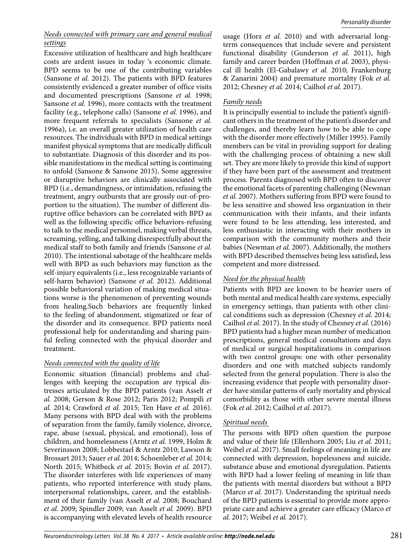#### *Needs connected with primary care and general medical settings*

Excessive utilization of healthcare and high healthcare costs are ardent issues in today 's economic climate. BPD seems to be one of the contributing variables (Sansone *et al.* 2012). The patients with BPD features consistently evidenced a greater number of office visits and documented prescriptions (Sansone *et al.* 1998; Sansone *et al.* 1996), more contacts with the treatment facility (e.g., telephone calls) (Sansone *et al.* 1996), and more frequent referrals to specialists (Sansone *et al.*  1996a), i.e. an overall greater utilization of health care resources. The individuals with BPD in medical settings manifest physical symptoms that are medically difficult to substantiate. Diagnosis of this disorder and its possible manifestations in the medical setting is continuing to unfold (Sansone & Sansone 2015). Some aggressive or disruptive behaviors are clinically associated with BPD (i.e., demandingness, or intimidation, refusing the treatment, angry outbursts that are grossly out-of-proportion to the situation). The number of different disruptive office behaviors can be correlated with BPD as well as the following specific office behaviors-refusing to talk to the medical personnel, making verbal threats, screaming, yelling, and talking disrespectfully about the medical staff to both family and friends (Sansone *et al.*  2010). The intentional sabotage of the healthcare melds well with BPD as such behaviors may function as the self-injury equivalents (i.e., less recognizable variants of self-harm behavior) (Sansone *et al.* 2012). Additional possible behavioral variation of making medical situations worse is the phenomenon of preventing wounds from healing.Such behaviors are frequently linked to the feeling of abandonment, stigmatized or fear of the disorder and its consequence. BPD patients need professional help for understanding and sharing painful feeling connected with the physical disorder and treatment.

## *Needs connected with the quality of life*

Economic situation (financial) problems and challenges with keeping the occupation are typical distresses articulated by the BPD patients (van Asselt *et al.* 2008; Gerson & Rose 2012; Paris 2012; Pompili *et al.* 2014; Crawford *et al.* 2015; Ten Have *et al.* 2016). Many persons with BPD deal with with the problems of separation from the family, family violence, divorce, rape, abuse (sexual, physical, and emotional), loss of children, and homelessness (Arntz *et al.* 1999, Holm & Severinsson 2008; Lobbestael & Arntz 2010; Lawson & Brossart 2013; Sauer *et al.* 2014; Schoenleber *et al.* 2014; North 2015; Whitbeck *et al.* 2015; Bovin *et al.* 2017). The disorder interferes with life experiences of many patients, who reported interference with study plans, interpersonal relationships, career, and the establishment of their family (van Asselt *et al.* 2008; Bouchard *et al.* 2009; Spindler 2009; van Asselt *et al.* 2009). BPD is accompanying with elevated levels of health resource

usage (Horz *et al.* 2010) and with adversarial longterm consequences that include severe and persistent functional disability (Gunderson *et al.* 2011), high family and career burden (Hoffman *et al.* 2003), physical ill health (El-Gabalawy *et al.* 2010; Frankenburg & Zanarini 2004) and premature mortality (Fok *et al.*  2012; Chesney *et al.* 2014; Cailhol *et al.* 2017).

#### *Family needs*

It is principally essential to include the patient's significant others in the treatment of the patient's disorder and challenges, and thereby learn how to be able to cope with the disorder more effectively (Miller 1995). Family members can be vital in providing support for dealing with the challenging process of obtaining a new skill set. They are more likely to provide this kind of support if they have been part of the assessment and treatment process. Parents diagnosed with BPD often to discover the emotional facets of parenting challenging (Newman *et al.* 2007). Mothers suffering from BPD were found to be less sensitive and showed less organization in their communication with their infants, and their infants were found to be less attending, less interested, and less enthusiastic in interacting with their mothers in comparison with the community mothers and their babies (Newman *et al.* 2007). Additionally, the mothers with BPD described themselves being less satisfied, less competent and more distressed.

#### *Need for the physical health*

Patients with BPD are known to be heavier users of both mental and medical health care systems, especially in emergency settings, than patients with other clinical conditions such as depression (Chesney *et al.* 2014; Cailhol *et al.* 2017). In the study of Chesney *et al.* (2016) BPD patients had a higher mean number of medication prescriptions, general medical consultations and days of medical or surgical hospitalizations in comparison with two control groups: one with other personality disorders and one with matched subjects randomly selected from the general population. There is also the increasing evidence that people with personality disorder have similar patterns of early mortality and physical comorbidity as those with other severe mental illness (Fok *et al.* 2012; Cailhol *et al.* 2017).

#### *Spiritual needs*

The persons with BPD often question the purpose and value of their life (Ellenhorn 2005; Liu *et al.* 2011; Weibel *et al.* 2017). Small feelings of meaning in life are connected with depression, hopelessness and suicide, substance abuse and emotional dysregulation. Patients with BPD had a lower feeling of meaning in life than the patients with mental disorders but without a BPD (Marco *et al.* 2017). Understanding the spiritual needs of the BPD patients is essential to provide more appropriate care and achieve a greater care efficacy (Marco *et al.* 2017; Weibel *et al.* 2017).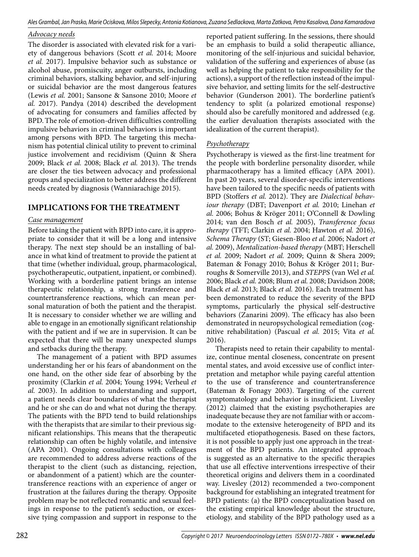#### *Advocacy needs*

The disorder is associated with elevated risk for a variety of dangerous behaviors (Scott *et al.* 2014; Moore *et al.* 2017). Impulsive behavior such as substance or alcohol abuse, promiscuity, anger outbursts, including criminal behaviors, stalking behavior, and self-injuring or suicidal behavior are the most dangerous features (Lewis *et al.* 2001; Sansone & Sansone 2010; Moore *et al.* 2017). Pandya (2014) described the development of advocating for consumers and families affected by BPD.The role of emotion-driven difficulties controlling impulsive behaviors in criminal behaviors is important among persons with BPD. The targeting this mechanism has potential clinical utility to prevent to criminal justice involvement and recidivism (Quinn & Shera 2009; Black *et al.* 2008; Black *et al.* 2013). The trends are closer the ties between advocacy and professional groups and specialization to better address the different needs created by diagnosis (Wanniarachige 2015).

# **IMPLICATIONS FOR THE TREATMENT**

#### *Case management*

Before taking the patient with BPD into care, it is appropriate to consider that it will be a long and intensive therapy. The next step should be an installing of balance in what kind of treatment to provide the patient at that time (whether individual, group, pharmacological, psychotherapeutic, outpatient, inpatient, or combined). Working with a borderline patient brings an intense therapeutic relationship, a strong transference and countertransference reactions, which can mean personal maturation of both the patient and the therapist. It is necessary to consider whether we are willing and able to engage in an emotionally significant relationship with the patient and if we are in supervision. It can be expected that there will be many unexpected slumps and setbacks during the therapy.

The management of a patient with BPD assumes understanding her or his fears of abandonment on the one hand, on the other side fear of absorbing by the proximity (Clarkin *et al.* 2004; Young 1994; Verheul *et al.* 2003). In addition to understanding and support, a patient needs clear boundaries of what the therapist and he or she can do and what not during the therapy. The patients with the BPD tend to build relationships with the therapists that are similar to their previous significant relationships. This means that the therapeutic relationship can often be highly volatile, and intensive (APA 2001). Ongoing consultations with colleagues are recommended to address adverse reactions of the therapist to the client (such as distancing, rejection, or abandonment of a patient) which are the countertransference reactions with an experience of anger or frustration at the failures during the therapy. Opposite problem may be not reflected romantic and sexual feelings in response to the patient's seduction, or excessive tying compassion and support in response to the

reported patient suffering. In the sessions, there should be an emphasis to build a solid therapeutic alliance, monitoring of the self-injurious and suicidal behavior, validation of the suffering and experiences of abuse (as well as helping the patient to take responsibility for the actions), a support of the reflection instead of the impulsive behavior, and setting limits for the self-destructive behavior (Gunderson 2001). The borderline patient's tendency to split (a polarized emotional response) should also be carefully monitored and addressed (e.g. the earlier devaluation therapists associated with the idealization of the current therapist).

## *Psychotherapy*

Psychotherapy is viewed as the first-line treatment for the people with borderline personality disorder, while pharmacotherapy has a limited efficacy (APA 2001). In past 20 years, several disorder-specific interventions have been tailored to the specific needs of patients with BPD (Stoffers *et al.* 2012). They are *Dialectical behaviour therapy* (DBT; Davenport *et al.* 2010; Linehan *et al.* 2006; Bohus & Kröger 2011; O'Connell & Dowling 2014; van den Bosch *et al.* 2005), *Transference focus therapy* (TFT; Clarkin *et al.* 2004; Hawton *et al.* 2016), *Schema Therapy* (ST; Giesen-Bloo *et al.* 2006; Nadort *et al.* 2009), *Mentalization-based therapy* (MBT; Herschell *et al.* 2009; Nadort *et al.* 2009; Quinn & Shera 2009; Bateman & Fonagy 2010; Bohus & Kröger 2011; Burroughs & Somerville 2013), and *STEPPS* (van Wel *et al.*  2006; Black *et al.* 2008; Blum *et al.* 2008; Davidson 2008; Black *et al.* 2013; Black *et al.* 2016). Each treatment has been demonstrated to reduce the severity of the BPD symptoms, particularly the physical self-destructive behaviors (Zanarini 2009). The efficacy has also been demonstrated in neuropsychological remediation (cognitive rehabilitation) (Pascual *et al.* 2015; Vita *et al.*  2016).

Therapists need to retain their capability to mentalize, continue mental closeness, concentrate on present mental states, and avoid excessive use of conflict interpretation and metaphor while paying careful attention to the use of transference and countertransference (Bateman & Fonagy 2003). Targeting of the current symptomatology and behavior is insufficient. Livesley (2012) claimed that the existing psychotherapies are inadequate because they are not familiar with or accommodate to the extensive heterogeneity of BPD and its multifaceted etiopathogenesis. Based on these factors, it is not possible to apply just one approach in the treatment of the BPD patients. An integrated approach is suggested as an alternative to the specific therapies that use all effective interventions irrespective of their theoretical origins and delivers them in a coordinated way. Livesley (2012) recommended a two-component background for establishing an integrated treatment for BPD patients: (a) the BPD conceptualization based on the existing empirical knowledge about the structure, etiology, and stability of the BPD pathology used as a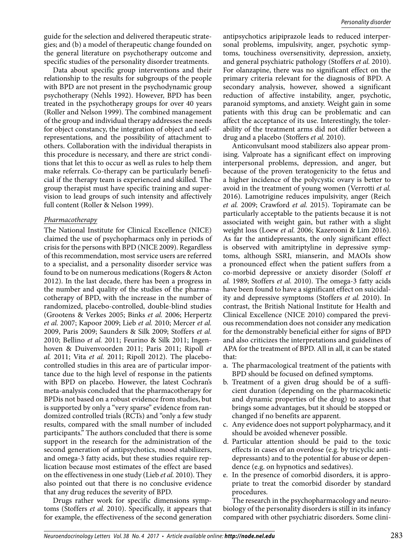guide for the selection and delivered therapeutic strategies; and (b) a model of therapeutic change founded on the general literature on psychotherapy outcome and specific studies of the personality disorder treatments.

Data about specific group interventions and their relationship to the results for subgroups of the people with BPD are not present in the psychodynamic group psychotherapy (Nehls 1992). However, BPD has been treated in the psychotherapy groups for over 40 years (Roller and Nelson 1999). The combined management of the group and individual therapy addresses the needs for object constancy, the integration of object and selfrepresentations, and the possibility of attachment to others. Collaboration with the individual therapists in this procedure is necessary, and there are strict conditions that let this to occur as well as rules to help them make referrals. Co-therapy can be particularly beneficial if the therapy team is experienced and skilled. The group therapist must have specific training and supervision to lead groups of such intensity and affectively full content (Roller & Nelson 1999).

#### *Pharmacotherapy*

The National Institute for Clinical Excellence (NICE) claimed the use of psychopharmacs only in periods of crisis for the persons with BPD (NICE 2009). Regardless of this recommendation, most service users are referred to a specialist, and a personality disorder service was found to be on numerous medications (Rogers & Acton 2012). In the last decade, there has been a progress in the number and quality of the studies of the pharmacotherapy of BPD, with the increase in the number of randomized, placebo-controlled, double-blind studies (Grootens & Verkes 2005; Binks *et al.* 2006; Herpertz *et al.* 2007; Kapoor 2009; Lieb *et al.* 2010; Mercer *et al.*  2009, Paris 2009; Saunders & Silk 2009; Stoffers *et al.*  2010; Bellino *et al.* 2011; Feurino & Silk 2011; Ingenhoven & Duivenvoorden 2011; Paris 2011; Ripoll *et al.* 2011; Vita *et al.* 2011; Ripoll 2012). The placebocontrolled studies in this area are of particular importance due to the high level of response in the patients with BPD on placebo. However, the latest Cochran's meta-analysis concluded that the pharmacotherapy for BPDis not based on a robust evidence from studies, but is supported by only a "very sparse" evidence from randomized controlled trials (RCTs) and "only a few study results, compared with the small number of included participants." The authors concluded that there is some support in the research for the administration of the second generation of antipsychotics, mood stabilizers, and omega-3 fatty acids, but these studies require replication because most estimates of the effect are based on the effectiveness in one study (Lieb *et al.* 2010). They also pointed out that there is no conclusive evidence that any drug reduces the severity of BPD.

Drugs rather work for specific dimensions symptoms (Stoffers *et al.* 2010). Specifically, it appears that for example, the effectiveness of the second generation

antipsychotics aripiprazole leads to reduced interpersonal problems, impulsivity, anger, psychotic symptoms, touchiness oversensitivity, depression, anxiety, and general psychiatric pathology (Stoffers *et al.* 2010). For olanzapine, there was no significant effect on the primary criteria relevant for the diagnosis of BPD. A secondary analysis, however, showed a significant reduction of affective instability, anger, psychotic, paranoid symptoms, and anxiety. Weight gain in some patients with this drug can be problematic and can affect the acceptance of its use. Interestingly, the tolerability of the treatment arms did not differ between a drug and a placebo (Stoffers *et al.* 2010).

Anticonvulsant mood stabilizers also appear promising. Valproate has a significant effect on improving interpersonal problems, depression, and anger, but because of the proven teratogenicity to the fetus and a higher incidence of the polycystic ovary is better to avoid in the treatment of young women (Verrotti *et al.*  2016). Lamotrigine reduces impulsivity, anger (Reich *et al.* 2009; Crawford *et al.* 2015). Topiramate can be particularly acceptable to the patients because it is not associated with weight gain, but rather with a slight weight loss (Loew *et al.* 2006; Kazerooni & Lim 2016). As far the antidepressants, the only significant effect is observed with amitriptyline in depressive symptoms, although SSRI, mianserin, and MAOIs show a pronounced effect when the patient suffers from a co-morbid depressive or anxiety disorder (Soloff *et al.* 1989; Stoffers *et al.* 2010). The omega-3 fatty acids have been found to have a significant effect on suicidality and depressive symptoms (Stoffers *et al.* 2010). In contrast, the British National Institute for Health and Clinical Excellence (NICE 2010) compared the previous recommendation does not consider any medication for the demonstrably beneficial either for signs of BPD and also criticizes the interpretations and guidelines of APA for the treatment of BPD. All in all, it can be stated that:

- a. The pharmacological treatment of the patients with BPD should be focused on defined symptoms.
- b. Treatment of a given drug should be of a sufficient duration (depending on the pharmacokinetic and dynamic properties of the drug) to assess that brings some advantages, but it should be stopped or changed if no benefits are apparent.
- c. Any evidence does not support polypharmacy, and it should be avoided whenever possible.
- d. Particular attention should be paid to the toxic effects in cases of an overdose (e.g. by tricyclic antidepressants) and to the potential for abuse or dependence (e.g. on hypnotics and sedatives).
- e. In the presence of comorbid disorders, it is appropriate to treat the comorbid disorder by standard procedures.

The research in the psychopharmacology and neurobiology of the personality disorders is still in its infancy compared with other psychiatric disorders. Some clini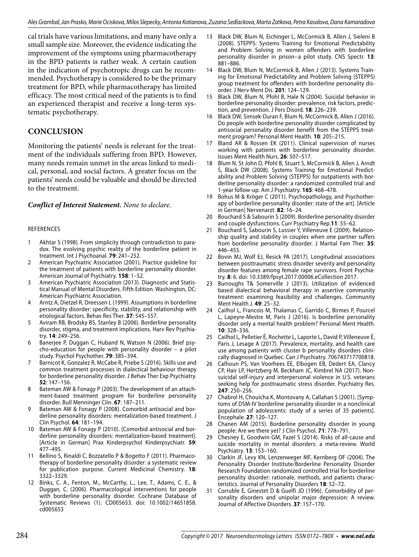cal trials have various limitations, and many have only a small sample size. Moreover, the evidence indicating the improvement of the symptoms using pharmacotherapy in the BPD patients is rather weak. A certain caution in the indication of psychotropic drugs can be recommended. Psychotherapy is considered to be the primary treatment for BPD, while pharmacotherapy has limited efficacy. The most critical need of the patients is to find an experienced therapist and receive a long-term systematic psychotherapy.

## **CONCLUSION**

Monitoring the patients' needs is relevant for the treatment of the individuals suffering from BPD. However, many needs remain unmet in the areas linked to medical, personal, and social factors. A greater focus on the patients' needs could be valuable and should be directed to the treatment.

#### *Conflict of Interest Statement. None to declare.*

#### REFERENCES

- 1 Akhtar S (1998). From simplicity through contradiction to paradox. The evolving psychic reality of the borderline patient in treatment. Int J Psychoanal. **79**: 241–252.
- 2 American Psychiatric Association (2001). Practice guideline for the treatment of patients with borderline personality disorder. American Journal of Psychiatry. **158**: 1–52.
- 3 American Psychiatric Association (2013). Diagnostic and Statistical Manual of Mental Disorders. Fifth Edition. Washington, DC: American Psychiatric Association.
- 4 Arntz A, Dietzel R, Dreessen L (1999). Assumptions in borderline personality disorder: specificity, stability, and relationship with etiological factors. Behav Res Ther. **37**: 545–557.
- 5 Aviram RB, Brodsky BS, Stanley B (2006). Borderline personality disorder, stigma, and treatment implications. Harv Rev Psychiatry. **14**: 249–256.
- 6 Banerjee P, Duggan C, Huband N, Watson N (2006). Brief psycho-education for people with personality disorder – a pilot study. Psychol Psychother. **79**: 385–394.
- 7 Barnicot K, Gonzalez R, McCabe R, Priebe S (2016). Skills use and common treatment processes in dialectical behaviour therapy for borderline personality disorder. J Behav Ther Exp Psychiatry. **52**: 147–156.
- Bateman AW & Fonagy P (2003). The development of an attachment-based treatment program for borderline personality disorder. Bull Menninger Clin. **67**: 187–211.
- 9 Bateman AW & Fonagy P (2008). Comorbid antisocial and borderline personality disorders: mentalization-based treatment. J Clin Psychol. **64**: 181–194.
- 10 Bateman AW & Fonagy P (2010). [Comorbid antisocial and borderline personality disorders: mentalization-based treatment]. [Article in German] Prax Kinderpsychol Kinderpsychiatr. **59**: 477–495.
- 11 Bellino S, Rinaldi C, Bozzatello P & Bogetto F (2011). Pharmacotherapy of borderline personality disorder: a systematic review for publication purpose. Current Medicinal Chemistry. **18**: 3322–3329.
- 12 Binks, C. A., Fenton, M., McCarthy, L., Lee, T., Adams, C. E., & Duggan, C. (2006). Pharmacological interventions for people with borderline personality disorder. Cochrane Database of Systematic Reviews (1). CD005653. doi: 10.1002/14651858. cd005653
- 13 Black DW, Blum N, Eichinger L, McCormick B, Allen J, Sieleni B (2008). STEPPS: Systems Training for Emotional Predictability and Problem Solving in women offenders with borderline personality disorder in prison--a pilot study. CNS Spectr. **13**: 881–886.
- 14 Black DW, Blum N, McCormick B, Allen J (2013). Systems Training for Emotional Predictability and Problem Solving (STEPPS) group treatment for offenders with borderline personality disorder. J Nerv Ment Dis. **201**: 124–129.
- 15 Black DW, Blum N, Pfohl B, Hale N (2004). Suicidal behavior in borderline personality disorder: prevalence, risk factors, prediction, and prevention. J Pers Disord. **18**: 226–239.
- 16 Black DW, Simsek-Duran F, Blum N, McCormick B, Allen J (2016). Do people with borderline personality disorder complicated by antisocial personality disorder benefit from the STEPPS treatment program? Personal Ment Health. **10**: 205–215.
- 17 Bland AR & Rossen EK (2011). Clinical supervision of nurses working with patients with borderline personality disorder. Issues Ment Health Nurs. **26**: 507–517.
- 18 Blum N, St John D, Pfohl B, Stuart S, McCormick B, Allen J, Arndt S, Black DW (2008). Systems Training for Emotional Predictability and Problem Solving (STEPPS) for outpatients with borderline personality disorder: a randomized controlled trial and 1-year follow-up. Am J Psychiatry. **165**: 468–478.
- 19 Bohus M & Kröger C (2011). Psychopathology, and Psychotherapy of borderline personality disorder: state of the art]. [Article in German] Nervenarzt. **82**: 16–24.
- 20 Bouchard S & Sabourin S (2009). Borderline personality disorder and couple dysfunctions. Curr Psychiatry Rep.**11**: 55–62.
- 21 Bouchard S, Sabourin S, Lussier Y, Villeneuve E (2009). Relationship quality and stability in couples when one partner suffers from borderline personality disorder. J Marital Fam Ther. **35**: 446–455.
- 22 Bovin MJ, Wolf EJ, Resick PA (2017). Longitudinal associations between posttraumatic stress disorder severity and personality disorder features among female rape survivors. Front Psychiatry. **8**: 6. doi: 10.3389/fpsyt.2017.00006.eCollection 2017.
- 23 Burroughs T& Somerville J (2013). Utilization of evidenced based dialectical behavioral therapy in assertive community treatment: examining feasibility and challenges. Community Ment Health J. **49**: 25–32.
- 24 Cailhol L, Francois M, Thalamas C, Garrido C, Birmes P, Pourcel L, Lapeyre-Mestre M, Paris J (2016). Is borderline personality disorder only a mental health problem? Personal Ment Health. **10**: 328–336.
- 25 Cailhol L, Pelletier É, Rochette L, Laporte L, David P, Villeneuve É, Paris J, Lesage A (2017). Prevalence, mortality, and health care use among patients with cluster b personality disorders clinically diagnosed in Quebec. Can J Psychiatry. 706743717700818.
- 26 Calhoun PS, Van Voorhees EE, Elbogen EB, Dedert EA, Clancy CP, Hair LP, Hertzberg M, Beckham JC, Kimbrel NA (2017). Nonsuicidal self-injury and interpersonal violence in U.S. veterans seeking help for posttraumatic stress disorder. Psychiatry Res. **247**: 250–256.
- 27 Chabrol H, Chouicha K, Montovany A, Callahan S (2001). [Symptoms of DSM-IV borderline personality disorder in a nonclinical population of adolescents: study of a series of 35 patients]. Encephale. **27**: 120–127.
- 28 Chanen AM (2015). Borderline personality disorder in young people: Are we there yet? J Clin Psychol. **71**: 778–791.
- 29 Chesney E, Goodwin GM, Fazel S (2014). Risks of all-cause and suicide mortality in mental disorders: a meta-review. World Psychiatry. **13**: 153–160.
- 30 Clarkin JF, Levy KN, Lenzenweger MF, Kernberg OF (2004). The Personality Disorder Institute/Borderline Personality Disorder Research Foundation randomized controlled trial for borderline personality disorder: rationale, methods, and patients characteristics. Journal of Personality Disorders **18**: 52–72.
- 31 Corruble E, Ginestet D & Guelfi JD (1996). Comorbidity of personality disorders and unipolar major depression: A review. Journal of Affective Disorders. **37**: 157–170.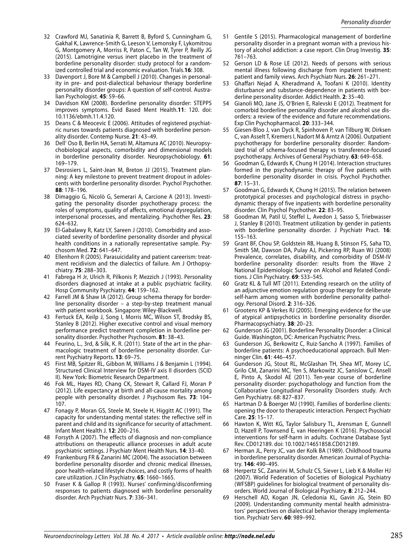- 32 Crawford MJ, Sanatinia R, Barrett B, Byford S, Cunningham G, Gakhal K, Lawrence-Smith G, Leeson V, Lemonsky F, Lykomitrou G, Montgomery A, Morriss R, Paton C, Tan W, Tyrer P, Reilly JG (2015). Lamotrigine versus inert placebo in the treatment of borderline personality disorder: study protocol for a randomized controlled trial and economic evaluation. Trials.**16**: 308.
- 33 Davenport J, Bore M & Campbell J (2010). Changes in personality in pre- and post-dialectical behaviour therapy borderline personality disorder groups: A question of self-control. Australian Psychologist. **45**: 59–66.
- 34 Davidson KM (2008). Borderline personality disorder: STEPPS improves symptoms. Evid Based Ment Health.**11**: 120. doi: 10.1136/ebmh.11.4.120.
- 35 Deans C & Meocevic E (2006). Attitudes of registered psychiatric nurses towards patients diagnosed with borderline personality disorder. Contemp Nurse. **21**: 43–49.
- 36 Dell' Oso B, Berlin HA, Serrati M, Altamura AC (2010). Neuropsychobiological aspects, comorbidity and dimensional models in borderline personality disorder. Neuropsychobiology. **61**: 169–179.
- 37 Desrosiers L, Saint-Jean M, Breton JJ (2015). Treatment planning: A key milestone to prevent treatment dropout in adolescents with borderline personality disorder. Psychol Psychother. **88**: 178–196.
- 38 Dimaggio G, Nicolò G, Semerari A, Carcione A (2013). Investigating the personality disorder psychotherapy process: the roles of symptoms, quality of affects, emotional dysregulation, interpersonal processes, and mentalizing. Psychother Res. **23**: 624–632.
- 39 El-Gabalawy R, Katz LY, Sareen J (2010). Comorbidity and associated severity of borderline personality disorder and physical health conditions in a nationally representative sample. Psychosom Med. **72**: 641–647.
- 40 Ellenhorn R (2005). Parasuicidality and patient careerism: treatment recidivism and the dialectics of failure. Am J Orthopsychiatry. **75**: 288–303.
- 41 Fabrega H Jr, Ulrich R, Pilkonis P, Mezzich J (1993). Personality disorders diagnosed at intake at a public psychiatric facility. Hosp Community Psychiatry. **44**: 159–162.
- 42 Farrell JM & Shaw IA (2012). Group schema therapy for borderline personality disorder – a step-by-step treatment manual with patient workbook. Singapore: Wiley-Blackwell.
- 43 Fertuck EA, Keilp J, Song I, Morris MC, Wilson ST, Brodsky BS, Stanley B (2012). Higher executive control and visual memory performance predict treatment completion in borderline personality disorder. Psychother Psychosom. **81**: 38–43.
- 44 Feurino, L., 3rd, & Silk, K. R. (2011). State of the art in the pharmacologic treatment of borderline personality disorder. Current Psychiatry Reports. **13**: 69–75.
- 45 First MB, Spitzer RL, Gibbon M, Williams J & Benjamin L (1994). Structured Clinical Interview for DSM-IV axis II disorders (SCID II). New York: Biometric Research Department.
- 46 Fok ML, Hayes RD, Chang CK, Stewart R, Callard FJ, Moran P (2012). Life expectancy at birth and all-cause mortality among people with personality disorder. J Psychosom Res. **73**: 104– 107.
- 47 Fonagy P, Moran GS, Steele M, Steele H, Higgitt AC (1991). The capacity for understanding mental states: the reflective self in parent and child and its significance for security of attachment. Infant Ment Health J. **12**: 200–216.
- 48 Forsyth A (2007). The effects of diagnosis and non-compliance attributions on therapeutic alliance processes in adult acute psychiatric settings. J Psychiatr Ment Health Nurs. **14**: 33–40.
- 49 Frankenburg FR & Zanarini MC (2004). The association between borderline personality disorder and chronic medical illnesses, poor health-related lifestyle choices, and costly forms of health care utilization. J Clin Psychiatry. **65**: 1660–1665.
- 50 Fraser K & Gallop R (1993). Nurses' confirming/disconfirming responses to patients diagnosed with borderline personality disorder. Arch Psychiatr Nurs. **7**: 336–341.
- 51 Gentile S (2015). Pharmacological management of borderline personality disorder in a pregnant woman with a previous history of alcohol addiction: a case report. Clin Drug Investig. **35**: 761–763.
- 52 Gerson LD & Rose LE (2012). Needs of persons with serious mental illness following discharge from inpatient treatment: patient and family views. Arch Psychiatr Nurs. **26**: 261–271.
- 53 Ghaffari Nejad A, Kheradmand A, Toofani K (2010). Identity disturbance and substance-dependence in patients with borderline personality disorder. Addict Health. **2**: 35–40.
- 54 Gianoli MO, Jane JS, O'Brien E, Ralevski E (2012). Treatment for comorbid borderline personality disorder and alcohol use disorders: a review of the evidence and future recommendations. Exp Clin Psychopharmacol. **20**: 333–344.
- 55 Giesen-Bloo J, van Dyck R, Spinhoven P, van Tilburg W, Dirksen C, van Asselt T, Kremers I, Nadort M & Arntz A (2006). Outpatient psychotherapy for borderline personality disorder: Randomized trial of schema-focused therapy vs transference-focused psychotherapy. Archives of General Psychiatry. **63**: 649–658.
- 56 Goodman G, Edwards K, Chung H (2014). Interaction structures formed in the psychodynamic therapy of five patients with borderline personality disorder in crisis. Psychol Psychother. **87**: 15–31.
- 57 Goodman G, Edwards K, Chung H (2015). The relation between prototypical processes and psychological distress in psychodynamic therapy of five inpatients with borderline personality disorder. Clin Psychol Psychother. **22**: 83–95.
- 58 Goodman M, Patil U, Steffel L, Avedon J, Sasso S, Triebwasser J, Stanley B (2010). Treatment utilization by gender in patients with borderline personality disorder. J Psychiatr Pract. **16**: 155–163.
- 59 Grant BF, Chou SP, Goldstein RB, Huang B, Stinson FS, Saha TD, Smith SM, Dawson DA, Pulay AJ, Pickering RP, Ruan WJ (2008) Prevalence, correlates, disability, and comorbidity of DSM-IV borderline personality disorder: results from the Wave 2 National Epidemiologic Survey on Alcohol and Related Conditions. J Clin Psychiatry. **69**: 533–545.
- 60 Gratz KL & Tull MT (2011). Extending research on the utility of an adjunctive emotion regulation group therapy for deliberate self-harm among women with borderline personality pathology. Personal Disord. **2**: 316–326.
- 61 Grootens KP & Verkes RJ (2005). Emerging evidence for the use of atypical antipsychotics in borderline personality disorder. Pharmacopsychiatry. **38**: 20–23.
- 62 Gunderson JG (2001). Borderline Personality Disorder: a Clinical Guide. Washington, DC: American Psychiatric Press.
- 63 Gunderson JG, Berkowitz C, Ruiz-Sancho A (1997). Families of borderline patients: A psychoeducational approach. Bull Menninger Clin. **61**: 446–457.
- 64 Gunderson JG, Stout RL, McGlashan TH, Shea MT, Morey LC, Grilo CM, Zanarini MC, Yen S, Markowitz JC, Sanislow C, Ansell E, Pinto A, Skodol AE (2011). Ten-year course of borderline personality disorder: psychopathology and function from the Collaborative Longitudinal Personality Disorders study. Arch Gen Psychiatry. 68: 827–837.
- 65 Hartman D & Boerger MJ (1990). Families of borderline clients: opening the door to therapeutic interaction. Perspect Psychiatr Care. **25**: 15–17.
- 66 Hawton K, Witt KG, Taylor Salisbury TL, Arensman E, Gunnell D, Hazell P, Townsend E, van Heeringen K (2016). Psychosocial interventions for self-harm in adults. Cochrane Database Syst Rev. CD012189. doi: 10.1002/14651858.CD012189.
- 67 Herman JL, Perry JC, van der Kolk BA (1989). Childhood trauma in borderline personality disorder. American Journal of Psychiatry. **146**: 490–495.
- Herpertz SC, Zanarini M, Schulz CS, Siever L, Lieb K & Moller HJ (2007). World Federation of Societies of Biological Psychiatry (WFSBP) guidelines for biological treatment of personality disorders. World Journal of Biological Psychiatry. **8**: 212–244.
- 69 Herschell AD, Kogan JN, Celedonia KL, Gavin JG, Stein BD (2009). Understanding community mental health administrators' perspectives on dialectical behavior therapy implementation. Psychiatr Serv. **60**: 989–992.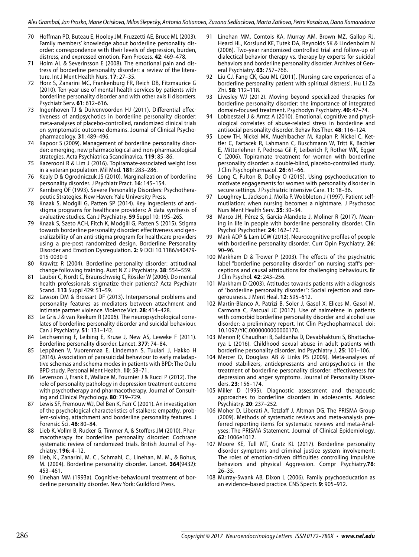- 70 Hoffman PD, Buteau E, Hooley JM, Fruzzetti AE, Bruce ML (2003). Family members' knowledge about borderline personality disorder: correspondence with their levels of depression, burden, distress, and expressed emotion. Fam Process. **42**: 469–478.
- 71 Holm AL & Severinsson E (2008). The emotional pain and distress of borderline personality disorder: a review of the literature. Int J Ment Health Nurs. **17**: 27–35.
- 72 Horz S, Zanarini MC, Frankenburg FR, Reich DB, Fitzmaurice G (2010). Ten-year use of mental health services by patients with borderline personality disorder and with other axis II disorders. Psychiatr Serv. **61**: 612–616.
- 73 Ingenhoven TJ & Duivenvoorden HJ (2011). Differential effectiveness of antipsychotics in borderline personality disorder: meta-analyses of placebo-controlled, randomized clinical trials on symptomatic outcome domains. Journal of Clinical Psychopharmacology. **31**: 489–496.
- 74 Kapoor S (2009). Management of borderline personality disorder: emerging, new pharmacological and non-pharmacological strategies. Acta Psychiatrica Scandinavica. **119**: 85–86.
- 75 Kazerooni R & Lim J (2016). Topiramate-associated weight loss in a veteran population. Mil Med. **181**: 283–286.
- 76 Kealy D & Ogrodniczuk JS (2010). Marginalization of borderline personality disorder. J Psychiatr Pract. **16**: 145–154.
- 77 Kernberg OF (1993). Severe Personality Disorders: Psychotherapeutic Strategies. New Haven: Yale University Press.
- 78 Knaak S, Modgill G, Patten SP (2014). Key ingredients of antistigma programs for healthcare providers: A data synthesis of evaluative studies. Can J Psychiatry. **59** Suppl 10: 19S–26S.
- 79 Knaak S, Szeto ACH, Fitch K, Modgill G, Patten S (2015). Stigma towards borderline personality disorder: effectiveness and generalizability of an anti-stigma program for healthcare providers using a pre-post randomized design. Borderline Personality Disorder and Emotion Dysregulation. **2**: 9 DOI 10.1186/s40479- 015-0030-0
- 80 Krawitz R (2004). Borderline personality disorder: attitudinal change following training. Aust N Z J Psychiatry. **38**: 554–559.
- 81 Lauber C, Nordt C, Braunschweig C, Rössler W (2006). Do mental health professionals stigmatize their patients? Acta Psychiatr Scand. **113** Suppl 429: 51–59.
- 82 Lawson DM & Brossart DF (2013). Interpersonal problems and personality features as mediators between attachment and intimate partner violence. Violence Vict. **28**: 414–428.
- 83 Le Gris J & van Reekum R (2006). The neuropsychological correlates of borderline personality disorder and suicidal behaviour. Can J Psychiatry. **51**: 131–142.
- 84 Leichsenring F, Leibing E, Kruse J, New AS, Leweke F (2011). Borderline personality disorder. Lancet. **377**: 74–84.
- 85 Leppänen V, Vuorenmaa E, Lindeman S, Tuulari J, Hakko H (2016). Association of parasuicidal behaviour to early maladaptive schemas and schema modes in patients with BPD: The Oulu BPD study. Personal Ment Health. **10**: 58–71.
- 86 Levenson J, Frank E, Wallace M, Fournier J & Rucci P (2012). The role of personality pathology in depression treatment outcome with psychotherapy and pharmacotherapy. Journal of Consulting and Clinical Psychology. **80**: 719–729.
- 87 Lewis SF, Fremouw WJ, Del Ben K, Farr C (2001). An investigation of the psychological characteristics of stalkers: empathy, problem-solving, attachment and borderline personality features. J Forensic Sci. **46**: 80–84.
- 88 Lieb K, Vollm B, Rucker G, Timmer A, & Stoffers JM (2010). Pharmacotherapy for borderline personality disorder: Cochrane systematic review of randomized trials. British Journal of Psychiatry. **196**: 4–12.
- 89 Lieb, K., Zanarini, M. C., Schmahl, C., Linehan, M. M., & Bohus, M. (2004). Borderline personality disorder. Lancet. **364**(9432): 453–461.
- 90 Linehan MM (1993a). Cognitive-behavioural treatment of borderline personality disorder. New York: Guildford Press.
- 91 Linehan MM, Comtois KA, Murray AM, Brown MZ, Gallop RJ, Heard HL, Korslund KE, Tutek DA, Reynolds SK & Lindenboim N (2006). Two-year randomized controlled trial and follow-up of dialectical behavior therapy vs. therapy by experts for suicidal behaviors and borderline personality disorder. Archives of General Psychiatry. **63**: 757–766.
- 92 Liu CJ, Fang CK, Gau ML (2011). [Nursing care experiences of a borderline personality patient with spiritual distress]. Hu Li Za Zhi. **58**: 112–118.
- 93 Livesley WJ (2012). Moving beyond specialized therapies for borderline personality disorder: the importance of integrated domain-focused treatment. Psychodyn Psychiatry. **40**: 47–74.
- Lobbestael J & Arntz A (2010). Emotional, cognitive and physiological correlates of abuse-related stress in borderline and antisocial personality disorder. Behav Res Ther. **48**: 116–124.
- Loew TH, Nickel MK, Muehlbacher M, Kaplan P, Nickel C, Kettler C, Fartacek R, Lahmann C, Buschmann W, Tritt K, Bachler E, Mitterlehner F, Pedrosa Gil F, Leiberich P, Rother WK, Egger C (2006). Topiramate treatment for women with borderline personality disorder: a double-blind, placebo-controlled study. J Clin Psychopharmacol. **26**: 61–66.
- 96 Long C, Fulton B, Dolley O (2015). Using psychoeducation to motivate engagements for women with personality disorder in secure settings. J Psychiatric Intensive Care. 11: 18–36.
- 97 Loughrey L, Jackson J, Molla P, Wobbleton J (1997). Patient selfmutilation: when nursing becomes a nightmare. J Psychosoc Nurs Ment Health Serv. **35**: 30–34.
- 98 Marco JH, Pérez S, García-Alandete J, Moliner R (2017). Meaning in life in people with borderline personality disorder. Clin Psychol Psychother. **24**: 162–170.
- 99 Mark ADP & Lam LCW (2013). Neurocognitive profiles of people with borderline personality disorder. Curr Opin Psychiatry. **26**: 90–96.
- 100 Markham D & Trower P (2003). The effects of the psychiatric label "borderline personality disorder" on nursing staff's perceptions and causal attributions for challenging behaviours. Br J Clin Psychol. **42**: 243–256.
- 101 Markham D (2003). Attitudes towards patients with a diagnosis of "borderline personality disorder": Social rejection and dangerousness. J Ment Heal. **12**: 595–612.
- 102 Martín-Blanco A, Patrizi B, Soler J, Gasol X, Elices M, Gasol M, Carmona C, Pascual JC (2017). Use of nalmefene in patients with comorbid borderline personality disorder and alcohol use disorder: a preliminary report. Int Clin Psychopharmacol. doi: 10.1097/YIC.0000000000000170.
- 103 Menon P, Chaudhari B, Saldanha D, Devabhaktuni S, Bhattacharya L (2016). Childhood sexual abuse in adult patients with borderline personality disorder. Ind Psychiatry J. **25**: 101–106.
- 104 Mercer D, Douglass AB & Links PS (2009). Meta-analyses of mood stabilizers, antidepressants and antipsychotics in the treatment of borderline personality disorder: effectiveness for depression and anger symptoms. Journal of Personality Disorders. **23**: 156–174.
- 105 Miller D (1995). Diagnostic assessment and therapeutic approaches to borderline disorders in adolescents. Adolesc Psychiatry. **20**: 237–252.
- 106 Moher D, Liberati A, Tetzlaff J, Altman DG, The PRISMA Group (2009). Methods of systematic reviews and meta-analysis preferred reporting items for systematic reviews and meta-Analyses: The PRISMA Statement. Journal of Clinical Epidemiology. **62**: 1006e1012.
- 107 Moore KE, Tull MT, Gratz KL (2017). Borderline personality disorder symptoms and criminal justice system involvement: The roles of emotion-driven difficulties controlling impulsive behaviors and physical Aggression. Compr Psychiatry.**76**: 26–35.
- 108 Murray-Swank AB, Dixon L (2006). Family psychoeducation as an evidence-based practice. CNS Spectr. **9**: 905–912.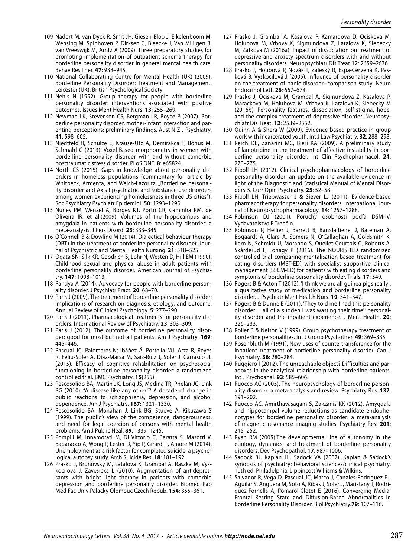- 109 Nadort M, van Dyck R, Smit JH, Giesen-Bloo J, Eikelenboom M, Wensing M, Spinhoven P, Dirksen C, Bleecke J, Van Milligen B, van Vreeswijk M, Arntz A (2009). Three preparatory studies for promoting implementation of outpatient schema therapy for borderline personality disorder in general mental health care. Behav Res Ther. **47**: 938–945.
- 110 National Collaborating Centre for Mental Health (UK) (2009). Borderline Personality Disorder: Treatment and Management. Leicester (UK): British Psychological Society.
- 111 Nehls N (1992). Group therapy for people with borderline personality disorder: interventions associated with positive outcomes. Issues Ment Health Nurs. **13**: 255–269.
- 112 Newman LK, Stevenson CS, Bergman LR, Boyce P (2007). Borderline personality disorder, mother-infant interaction and parenting perceptions: preliminary findings. Aust N Z J Psychiatry. **41**: 598–605.
- 113 Niedtfeld II, Schulze L, Krause-Utz A, Demirakca T, Bohus M, Schmahl C (2013). Voxel-Based morphometry in women with borderline personality disorder with and without comorbid posttraumatic stress disorder. PLoS ONE. **8**: e65824.
- 114 North CS (2015). Gaps in knowledge about personality disorders in homeless populations (commentary for article by Whitbeck, Armenta, and Welch-Lazoritz, "Borderline personality disorder and Axis I psychiatric and substance use disorders among women experiencing homelessness in three US cities"). Soc Psychiatry Psychiatr Epidemiol. **50**: 1293–1295.
- 115 Nunes PM, Wenzel A, Borges KT, Porto CR, Caminha RM, de Oliveira IR, et al.(2009). Volumes of the hippocampus and amygdala in patients with borderline personality disorder: a meta-analysis. J Pers Disord. **23**: 333–345.
- 116 O'Connell B & Dowling M (2014). Dialectical behaviour therapy (DBT) in the treatment of borderline personality disorder. Journal of Psychiatric and Mental Health Nursing. **21**: 518–525.
- 117 Ogata SN, Silk KR, Goodrich S, Lohr N, Westen D, Hill EM (1990). Childhood sexual and physical abuse in adult patients with borderline personality disorder. American Journal of Psychiatry. **147**: 1008–1013.
- 118 Pandya A (2014). Advocacy for people with borderline personality disorder. J Psychiatr Pract. **20**: 68–70.
- 119 Paris J (2009). The treatment of borderline personality disorder: implications of research on diagnosis, etiology, and outcome. Annual Review of Clinical Psychology. **5**: 277–290.
- 120 Paris J (2011). Pharmacological treatments for personality disorders. International Review of Psychiatry. **23**: 303–309.
- 121 Paris J (2012). The outcome of borderline personality disorder: good for most but not all patients. Am J Psychiatry. **169**: 445–446.
- 122 Pascual JC, Palomares N; Ibáñez Á, Portella MJ; Arza R, Reyes R, Feliu-Soler A, Díaz-Marsá M, Saiz-Ruiz J, Soler J, Carrasco JL (2015). Efficacy of cognitive rehabilitation on psychosocial functioning in borderline personality disorder: a randomized controlled trial. BMC Psychiatry. **15**(255).
- 123 Pescosolido BA, Martin JK, Long JS, Medina TR, Phelan JC, Link BG (2010). "A disease like any other"? A decade of change in public reactions to schizophrenia, depression, and alcohol dependence. Am J Psychiatry. **167**: 1321–1330.
- 124 Pescosolido BA, Monahan J, Link BG, Stueve A, Kikuzawa S (1999). The public's view of the competence, dangerousness, and need for legal coercion of persons with mental health problems. Am J Public Heal. **89**: 1339–1245.
- 125 Pompili M, Innamorati M, Di Vittorio C, Baratta S, Masotti V, Badaracco A, Wong P, Lester D, Yip P, Girardi P, Amore M (2014). Unemployment as a risk factor for completed suicide: a psychological autopsy study. Arch Suicide Res. **18**: 181–192.
- 126 Prasko J, Brunovsky M, Latalova K, Grambal A, Raszka M, Vyskocilova J, Zavesicka L (2010). Augmentation of antidepressants with bright light therapy in patients with comorbid depression and borderline personality disorder. Biomed Pap Med Fac Univ Palacky Olomouc Czech Repub. **154**: 355–361.
- 127 Prasko J, Grambal A, Kasalova P, Kamardova D, Ociskova M, Holubova M, Vrbova K, Sigmundova Z, Latalova K, Slepecky M, Zatkova M (2016a). Impact of dissociation on treatment of depressive and anxiety spectrum disorders with and without personality disorders. Neuropsychiatr Dis Treat.**12**: 2659–2676.
- 128 Prasko J, Houbová P, Novák T, Záleský R, Espa-Cervená K, Pasková B, Vyskocilová J (2005). Influence of personality disorder on the treatment of panic disorder--comparison study. Neuro Endocrinol Lett. **26**: 667–674.
- 129 Prasko J, Ociskova M, Grambal A, Sigmundova Z, Kasalova P, Marackova M, Holubova M, Vrbova K, Latalova K, Slepecky M (2016b). Personality features, dissociation, self-stigma, hope, and the complex treatment of depressive disorder. Neuropsychiatr Dis Treat. **12**: 2539–2552.
- 130 Quinn A & Shera W (2009). Evidence-based practice in group work with incarcerated youth. Int J Law Psychiatry. **32**: 288–293.
- 131 Reich DB, Zanarini MC, Bieri KA (2009). A preliminary study of lamotrigine in the treatment of affective instability in borderline personality disorder. Int Clin Psychopharmacol. **24**: 270–275.
- 132 Ripoll LH (2012). Clinical psychopharmacology of borderline personality disorder: an update on the available evidence in light of the Diagnostic and Statistical Manual of Mental Disorders-5. Curr Opin Psychiatry. **25**: 52–58.
- 133 Ripoll LH, Triebwasser J & Siever LJ (2011). Evidence-based pharmacotherapy for personality disorders. International Journal of Neuropsychopharmacology. **14**: 1257–1288.
- 134 Robinson DJ (2001). Poruchy osobnosti podľa DSM-IV. Vydavateľstvo F Trenčín.
- 135 Robinson P, Hellier J, Barrett B, Barzdaitiene D, Bateman A, Bogaardt A, Clare A, Somers N, O'Callaghan A, Goldsmith K, Kern N, Schmidt U, Morando S, Ouellet-Courtois C, Roberts A, Skårderud F, Fonagy P (2016). The NOURISHED randomized controlled trial comparing mentalisation-based treatment for eating disorders (MBT-ED) with specialist supportive clinical management (SSCM-ED) for patients with eating disorders and symptoms of borderline personality disorder. Trials. **17**: 549.
- 136 Rogers B & Acton T (2012). 'I think we are all guinea pigs really': a qualitative study of medication and borderline personality disorder. J Psychiatr Ment Health Nurs. **19**: 341–347.
- 137 Rogers B & Dunne E (2011). 'They told me I had this personality disorder … all of a sudden I was wasting their time': personality disorder and the inpatient experience. J Ment Health. **20**: 226–233.
- 138 Roller B & Nelson V (1999). Group psychotherapy treatment of borderline personalities. Int J Group Psychother. **49**: 369–385.
- 139 Rosenbluth M (1991). New uses of countertransference for the inpatient treatment of borderline personality disorder. Can J Psychiatry. **36**: 280–284.
- 140 Ruggiero I (2012). The unreachable object? Difficulties and paradoxes in the analytical relationship with borderline patients. Int J Psychoanal. **93**: 585–606.
- 141 Ruocco AC (2005). The neuropsychology of borderline personality disorder: a meta-analysis and review. Psychiatry Res. **137**: 191–202.
- 142 Ruocco AC, Amirthavasagam S, Zakzanis KK (2012). Amygdala and hippocampal volume reductions as candidate endophenotypes for borderline personality disorder: a meta-analysis of magnetic resonance imaging studies. Psychiatry Res. **201**: 245–252.
- 143 Ryan RM (2005).The developmental line of autonomy in the etiology, dynamics, and treatment of borderline personality disorders. Dev Psychopathol. **17**: 987–1006.
- 144 Sadock BJ, Kaplan HI, Sadock VA (2007). Kaplan & Sadock's synopsis of psychiatry: behavioral sciences/clinical psychiatry. 10th ed. Philadelphia: Lippincott Williams & Wilkins.
- 145 Salvador R, Vega D, Pascual JC, Marco J, Canales-Rodríguez EJ, Aguilar S, Anguera M, Soto A, Ribas J, Soler J, Maristany T, Rodríguez-Fornells A, Pomarol-Clotet E (2016). Converging Medial Frontal Resting State and Diffusion-Based Abnormalities in Borderline Personality Disorder. Biol Psychiatry.**79**: 107–116.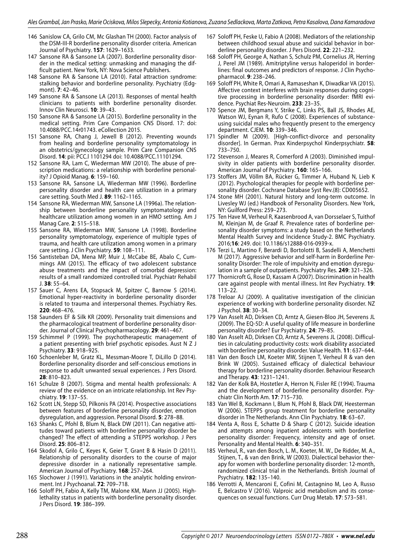- 146 Sanislow CA, Grilo CM, Mc Glashan TH (2000). Factor analysis of the DSM-III-R borderline personality disorder criteria. American Journal of Psychiatry. **157**: 1629–1633.
- 147 Sansone RA & Sansone LA (2007). Borderline personality disorder in the medical setting: unmasking and managing the difficult patient. New York, NY: Nova Science Publishers.
- 148 Sansone RA & Sansone LA (2010). Fatal attraction syndrome: stalking behavior and borderline personality. Psychiatry (Edgmont). **7**: 42–46.
- 149 Sansone RA & Sansone LA (2013). Responses of mental health clinicians to patients with borderline personality disorder. Innov Clin Neurosci. **10**: 39–43.
- 150 Sansone RA & Sansone LA (2015). Borderline personality in the medical setting. Prim Care Companion CNS Disord. 17: doi: 10.4088/PCC.14r01743. eCollection 2015.
- 151 Sansone RA, Chang J, Jewell B (2012). Preventing wounds from healing and borderline personality symptomatology in an obstetrics/gynecology sample. Prim Care Companion CNS Disord. **14**: pii: PCC.l 1101294 doi: 10.4088/PCC.11101294.
- 152 Sansone RA, Lam C, Wiederman MW (2010). The abuse of prescription medications: a relationship with borderline personality? J Opioid Manag. **6**: 159–160.
- 153 Sansone RA, Sansone LA, Wiederman MW (1996). Borderline personality disorder and health care utilization in a primary care setting. South Med J. **89**: 1162–1165.
- 154 Sansone RA, Wiederman MW, Sansone LA (1996a). The relationship between borderline personality symptomatology and healthcare utilization among women in an HMO setting. Am J Manag Care. **2**: 515–518.
- 155 Sansone RA, Wiederman MW, Sansone LA (1998). Borderline personality symptomatology, experience of multiple types of trauma, and health care utilization among women in a primary care setting. J Clin Psychiatry. **59**: 108–111.
- 156 Santisteban DA, Mena MP, Muir J, McCabe BE, Abalo C, Cummings AM (2015). The efficacy of two adolescent substance abuse treatments and the impact of comorbid depression: results of a small randomized controlled trial. Psychiatr Rehabil J. **38**: 55–64.
- 157 Sauer C, Arens EA, Stopsack M, Spitzer C, Barnow S (2014). Emotional hyper-reactivity in borderline personality disorder is related to trauma and interpersonal themes. Psychiatry Res. **220**: 468–476.
- 158 Saunders EF & Silk KR (2009). Personality trait dimensions and the pharmacological treatment of borderline personality disorder. Journal of Clinical Psychopharmacology. **29**: 461–467.
- 159 Schimmel P (1999). The psychotherapeutic management of a patient presenting with brief psychotic episodes. Aust N Z J Psychiatry. **33**: 918–925.
- 160 Schoenleber M, Gratz KL, Messman-Moore T, DiLillo D (2014). Borderline personality disorder and self-conscious emotions in response to adult unwanted sexual experiences. J Pers Disord. **28**: 810–823.
- 161 Schulze B (2007). Stigma and mental health professionals: A review of the evidence on an intricate relationship. Int Rev Psychiatry. **19**: 137–55.
- 162 Scott LN, Stepp SD, Pilkonis PA (2014). Prospective associations between features of borderline personality disorder, emotion dysregulation, and aggression. Personal Disord. **5**: 278–88.
- 163 Shanks C, Pfohl B, Blum N, Black DW (2011). Can negative attitudes toward patients with borderline personality disorder be changed? The effect of attending a STEPPS workshop. J Pers Disord. **25**: 806–812.
- 164 Skodol A, Grilo C, Keyes K, Geier T, Grant B & Hasin D (2011). Relationship of personality disorders to the course of major depressive disorder in a nationally representative sample. American Journal of Psychiatry. **168**: 257–264.
- 165 Slochower J (1991). Variations in the analytic holding environment. Int J Psychoanal. **72**: 709–718.
- 166 Soloff PH, Fabio A, Kelly TM, Malone KM, Mann JJ (2005). Highlethality status in patients with borderline personality disorder. J Pers Disord. **19**: 386–399.
- 167 Soloff PH, Feske U, Fabio A (2008). Mediators of the relationship between childhood sexual abuse and suicidal behavior in borderline personality disorder. J Pers Disord. **22**: 221–232.
- 168 Soloff PH, George A, Nathan S, Schulz PM, Cornelius JR, Herring J, Perel JM (1989). Amitriptyline versus haloperidol in borderlines: final outcomes and predictors of response. J Clin Psychopharmacol. **9**: 238–246.
- 169 Soloff PH, White R, Omari A, Ramaseshan K, Diwadkar VA (2015). Affective context interferes with brain responses during cognitive processing in borderline personality disorder: fMRI evidence. Psychiat Res-Neuroim. **233**: 23–35.
- 170 Spence JM, Bergmans Y, Strike C, Links PS, Ball JS, Rhodes AE, Watson WJ, Eynan R, Rufo C (2008). Experiences of substanceusing suicidal males who frequently present to the emergency department. CJEM. **10**: 339–346.
- 171 Spindler M (2009). [High-conflict-divorce and personality disorder]. In German. Prax Kinderpsychol Kinderpsychiatr. **58**: 733–750.
- 172 Stevenson J, Meares R, Comerford A (2003). Diminished impulsivity in older patients with borderline personality disorder. American Journal of Psychiatry. **160**: 165–166.
- 173 Stoffers JM, Völlm BA, Rücker G, Timmer A, Huband N, Lieb K (2012). Psychological therapies for people with borderline personality disorder. Cochrane Database Syst Rev.(8): CD005652.
- 174 Stone MH (2001). Natural history and long-term outcome. In Livesley WJ (ed.) Handbook of Personality Disorders. New York, NY: Guilford Press: 259–273.
- 175 Ten Have M, Verheul R, Kaasenbrood A, van Dorsselaer S, Tuithof M, Kleinjan M, de Graaf R. Prevalence rates of borderline personality disorder symptoms: a study based on the Netherlands Mental Health Survey and Incidence Study-2. BMC Psychiatry. 2016;**16**: 249. doi: 10.1186/s12888-016-0939-x.
- 176 Terzi L, Martino F, Berardi D, Bortolotti B, Sasdelli A, Menchetti M (2017). Aggressive behavior and self-harm in Borderline Personality Disorder: The role of impulsivity and emotion dysregulation in a sample of outpatients. Psychiatry Res. **249**: 321–326.
- 177 Thornicroft G, Rose D, Kassam A (2007). Discrimination in health care against people with mental illness. Int Rev Psychiatry. **19**: 113–22.
- 178 Treloar AJ (2009). A qualitative investigation of the clinician experience of working with borderline personality disorder. NZ J Psychol. **38**: 30–34.
- 179 Van Asselt AD, Dirksen CD, Arntz A, Giesen-Bloo JH, Severens JL (2009). The EQ-5D: A useful quality of life measure in borderline personality disorder? Eur Psychiatry. **24**: 79–85.
- 180 Van Asselt AD, Dirksen CD, Arntz A, Severens JL (2008). Difficulties in calculating productivity costs: work disability associated with borderline personality disorder. Value Health. **11**: 637–644.
- 181 Van den Bosch LM, Koeter MW, Stijnen T, Verheul R & van den Brink W (2005). Sustained efficacy of dialectical behaviour therapy for borderline personality disorder. Behaviour Research and Therapy. **43**: 1231–1241.
- 182 Van der Kolk BA, Hostetler A, Herron N, Fisler RE (1994). Trauma and the development of borderline personality disorder. Psychiatr Clin North Am. **17**: 715–730.
- 183 Van Wel B, Kockmann I, Blum N, Pfohl B, Black DW, Heesterman W (2006). STEPPS group treatment for borderline personality disorder in The Netherlands. Ann Clin Psychiatry. **18**: 63–67.
- 184 Venta A, Ross E, Schatte D & Sharp C (2012). Suicide ideation and attempts among inpatient adolescents with borderline personality disorder: Frequency, intensity and age of onset. Personality and Mental Health. **6**: 340–351.
- 185 Verheul, R., van den Bosch, L. M., Koeter, M. W., De Ridder, M. A., Stijnen, T., & van den Brink, W (2003). Dialectical behavior therapy for women with borderline personality disorder: 12-month, randomized clinical trial in the Netherlands. British Journal of Psychiatry. **182**: 135–140.
- 186 Verrotti A, Mencaroni E, Cofini M, Castagnino M, Leo A, Russo E, Belcastro V (2016). Valproic acid metabolism and its consequences on sexual functions. Curr Drug Metab. **17**: 573–581.